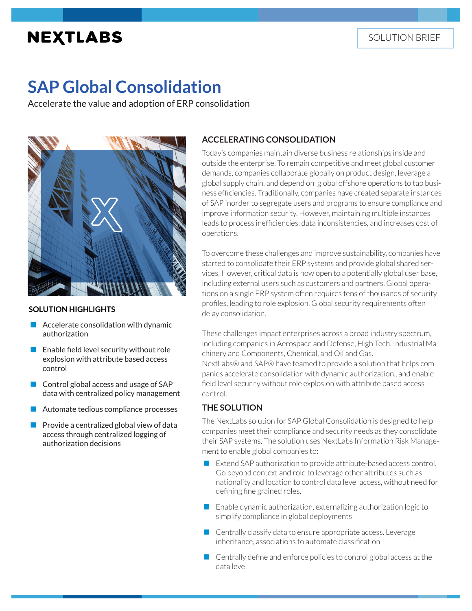# **NEXTLABS**

# **SAP Global Consolidation**

Accelerate the value and adoption of ERP consolidation



#### **SOLUTION HIGHLIGHTS**

- $\blacksquare$  Accelerate consolidation with dynamic authorization
- $\blacksquare$  Enable field level security without role explosion with attribute based access control
- Control global access and usage of SAP data with centralized policy management
- Automate tedious compliance processes
- Provide a centralized global view of data access through centralized logging of authorization decisions

## **ACCELERATING CONSOLIDATION**

Today's companies maintain diverse business relationships inside and outside the enterprise. To remain competitive and meet global customer demands, companies collaborate globally on product design, leverage a global supply chain, and depend on global offshore operations to tap business efficiencies. Traditionally, companies have created separate instances of SAP inorder to segregate users and programs to ensure compliance and improve information security. However, maintaining multiple instances leads to process inefficiencies, data inconsistencies, and increases cost of operations.

To overcome these challenges and improve sustainability, companies have started to consolidate their ERP systems and provide global shared services. However, critical data is now open to a potentially global user base, including external users such as customers and partners. Global operations on a single ERP system often requires tens of thousands of security profiles, leading to role explosion. Global security requirements often delay consolidation.

These challenges impact enterprises across a broad industry spectrum, including companies in Aerospace and Defense, High Tech, Industrial Machinery and Components, Chemical, and Oil and Gas. NextLabs® and SAP® have teamed to provide a solution that helps companies accelerate consolidation with dynamic authorization., and enable field level security without role explosion with attribute based access control.

#### **THE SOLUTION**

The NextLabs solution for SAP Global Consolidation is designed to help companies meet their compliance and security needs as they consolidate their SAP systems. The solution uses NextLabs Information Risk Management to enable global companies to:

- Extend SAP authorization to provide attribute-based access control. Go beyond context and role to leverage other attributes such as nationality and location to control data level access, without need for defining fine grained roles.
- **E** Enable dynamic authorization, externalizing authorization logic to simplify compliance in global deployments
- **Centrally classify data to ensure appropriate access. Leverage** inheritance, associations to automate classification
- $\Box$  Centrally define and enforce policies to control global access at the data level